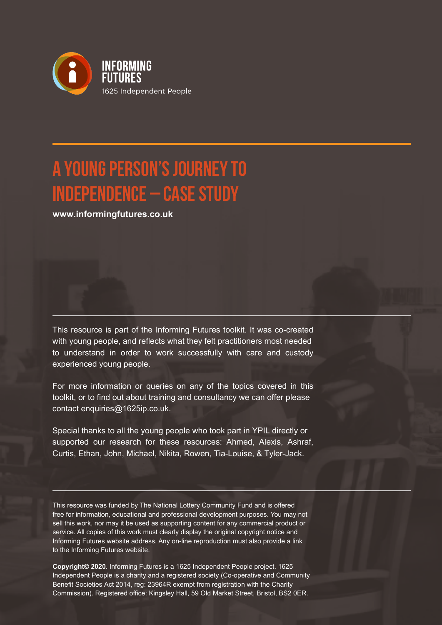

# **A YOUNG PERSON'S JOURNEY TO INDEPENDENCE – CASE STUDY**

**www.informingfutures.co.uk**

This resource is part of the Informing Futures toolkit. It was co-created with young people, and reflects what they felt practitioners most needed to understand in order to work successfully with care and custody experienced young people.

For more information or queries on any of the topics covered in this toolkit, or to find out about training and consultancy we can offer please contact enquiries@1625ip.co.uk.

Special thanks to all the young people who took part in YPIL directly or supported our research for these resources: Ahmed, Alexis, Ashraf, Curtis, Ethan, John, Michael, Nikita, Rowen, Tia-Louise, & Tyler-Jack.

This resource was funded by The National Lottery Community Fund and is offered free for information, educational and professional development purposes. You may not sell this work, nor may it be used as supporting content for any commercial product or service. All copies of this work must clearly display the original copyright notice and Informing Futures website address. Any on-line reproduction must also provide a link to the Informing Futures website.

**Copyright© 2020**. Informing Futures is a 1625 Independent People project. 1625 Independent People is a charity and a registered society (Co-operative and Community Benefit Societies Act 2014, reg: 23964R exempt from registration with the Charity Commission). Registered office: Kingsley Hall, 59 Old Market Street, Bristol, BS2 0ER.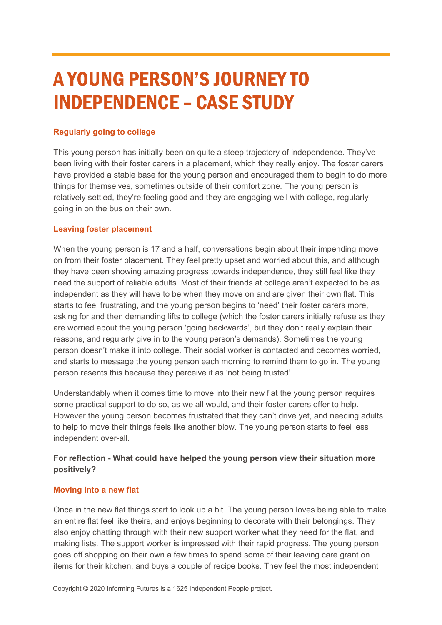# A YOUNG PERSON'S JOURNEY TO INDEPENDENCE – CASE STUDY

## **Regularly going to college**

This young person has initially been on quite a steep trajectory of independence. They've been living with their foster carers in a placement, which they really enjoy. The foster carers have provided a stable base for the young person and encouraged them to begin to do more things for themselves, sometimes outside of their comfort zone. The young person is relatively settled, they're feeling good and they are engaging well with college, regularly going in on the bus on their own.

## **Leaving foster placement**

When the young person is 17 and a half, conversations begin about their impending move on from their foster placement. They feel pretty upset and worried about this, and although they have been showing amazing progress towards independence, they still feel like they need the support of reliable adults. Most of their friends at college aren't expected to be as independent as they will have to be when they move on and are given their own flat. This starts to feel frustrating, and the young person begins to 'need' their foster carers more, asking for and then demanding lifts to college (which the foster carers initially refuse as they are worried about the young person 'going backwards', but they don't really explain their reasons, and regularly give in to the young person's demands). Sometimes the young person doesn't make it into college. Their social worker is contacted and becomes worried, and starts to message the young person each morning to remind them to go in. The young person resents this because they perceive it as 'not being trusted'.

Understandably when it comes time to move into their new flat the young person requires some practical support to do so, as we all would, and their foster carers offer to help. However the young person becomes frustrated that they can't drive yet, and needing adults to help to move their things feels like another blow. The young person starts to feel less independent over-all.

# **For reflection - What could have helped the young person view their situation more positively?**

### **Moving into a new flat**

Once in the new flat things start to look up a bit. The young person loves being able to make an entire flat feel like theirs, and enjoys beginning to decorate with their belongings. They also enjoy chatting through with their new support worker what they need for the flat, and making lists. The support worker is impressed with their rapid progress. The young person goes off shopping on their own a few times to spend some of their leaving care grant on items for their kitchen, and buys a couple of recipe books. They feel the most independent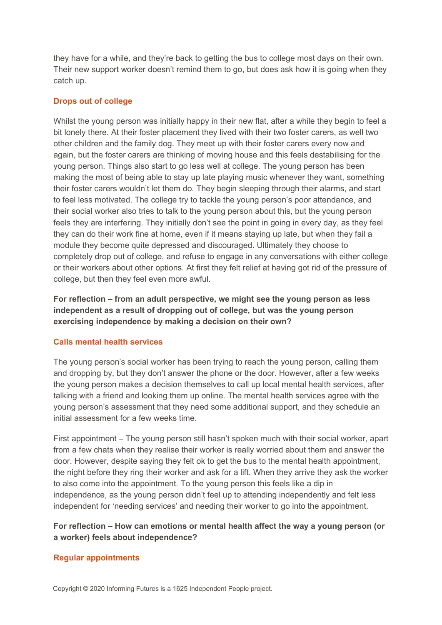they have for a while, and they're back to getting the bus to college most days on their own. Their new support worker doesn't remind them to go, but does ask how it is going when they catch up.

## **Drops out of college**

Whilst the young person was initially happy in their new flat, after a while they begin to feel a bit lonely there. At their foster placement they lived with their two foster carers, as well two other children and the family dog. They meet up with their foster carers every now and again, but the foster carers are thinking of moving house and this feels destabilising for the young person. Things also start to go less well at college. The young person has been making the most of being able to stay up late playing music whenever they want, something their foster carers wouldn't let them do. They begin sleeping through their alarms, and start to feel less motivated. The college try to tackle the young person's poor attendance, and their social worker also tries to talk to the young person about this, but the young person feels they are interfering. They initially don't see the point in going in every day, as they feel they can do their work fine at home, even if it means staying up late, but when they fail a module they become quite depressed and discouraged. Ultimately they choose to completely drop out of college, and refuse to engage in any conversations with either college or their workers about other options. At first they felt relief at having got rid of the pressure of college, but then they feel even more awful.

**For reflection – from an adult perspective, we might see the young person as less independent as a result of dropping out of college, but was the young person exercising independence by making a decision on their own?** 

### **Calls mental health services**

The young person's social worker has been trying to reach the young person, calling them and dropping by, but they don't answer the phone or the door. However, after a few weeks the young person makes a decision themselves to call up local mental health services, after talking with a friend and looking them up online. The mental health services agree with the young person's assessment that they need some additional support, and they schedule an initial assessment for a few weeks time.

First appointment – The young person still hasn't spoken much with their social worker, apart from a few chats when they realise their worker is really worried about them and answer the door. However, despite saying they felt ok to get the bus to the mental health appointment, the night before they ring their worker and ask for a lift. When they arrive they ask the worker to also come into the appointment. To the young person this feels like a dip in independence, as the young person didn't feel up to attending independently and felt less independent for 'needing services' and needing their worker to go into the appointment.

# **For reflection – How can emotions or mental health affect the way a young person (or a worker) feels about independence?**

### **Regular appointments**